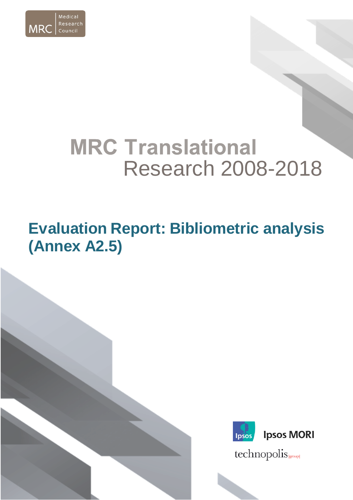

# **MRC Translational** Research 2008-2018

## **Evaluation Report: Bibliometric analysis (Annex A2.5)**



technopolis sproup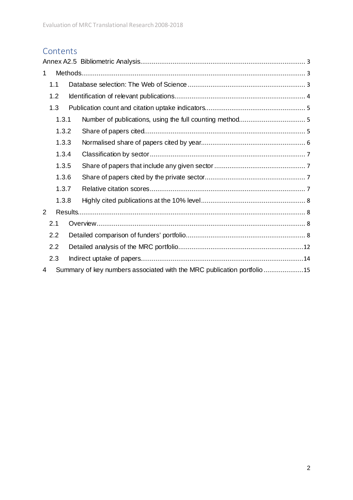## **Contents**

| $\mathbf 1$    |       |                                                                        |  |
|----------------|-------|------------------------------------------------------------------------|--|
|                | 1.1   |                                                                        |  |
|                | 1.2   |                                                                        |  |
|                | 1.3   |                                                                        |  |
|                | 1.3.1 |                                                                        |  |
|                | 1.3.2 |                                                                        |  |
|                | 1.3.3 |                                                                        |  |
|                | 1.3.4 |                                                                        |  |
|                | 1.3.5 |                                                                        |  |
|                | 1.3.6 |                                                                        |  |
|                | 1.3.7 |                                                                        |  |
|                | 1.3.8 |                                                                        |  |
| $\overline{2}$ |       |                                                                        |  |
|                | 2.1   |                                                                        |  |
|                | 2.2   |                                                                        |  |
|                | 2.2   |                                                                        |  |
|                | 2.3   |                                                                        |  |
| 4              |       | Summary of key numbers associated with the MRC publication portfolio15 |  |
|                |       |                                                                        |  |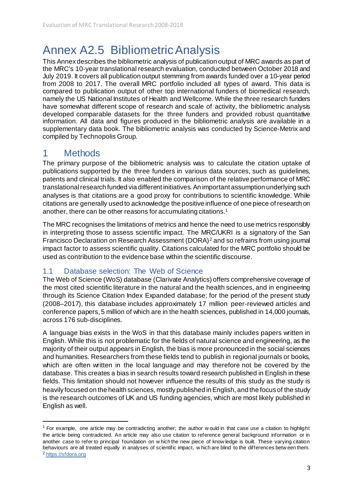## <span id="page-2-0"></span>Annex A2.5 Bibliometric Analysis

This Annex describes the bibliometric analysis of publication output of MRC awards as part of the MRC's 10-year translational research evaluation, conducted between October 2018 and July 2019. It covers all publication output stemming from awards funded over a 10-year period from 2008 to 2017. The overall MRC portfolio included all types of award. This data is compared to publication output of other top international funders of biomedical research, namely the US National Institutes of Health and Wellcome. While the three research funders have somewhat different scope of research and scale of activity, the bibliometric analysis developed comparable datasets for the three funders and provided robust quantitative information. All data and figures produced in the bibliometric analysis are available in a supplementary data book. The bibliometric analysis was conducted by Science-Metrix and compiled by Technopolis Group.

### <span id="page-2-1"></span>1 Methods

1

The primary purpose of the bibliometric analysis was to calculate the citation uptake of publications supported by the three funders in various data sources, such as guidelines, patents and clinical trials. It also enabled the comparison of the relative performance of MRC translational research funded via different initiatives.An important assumption underlying such analyses is that citations are a good proxy for contributions to scientific knowledge. While citations are generally used to acknowledge the positive influence of one piece of research on another, there can be other reasons for accumulating citations.[1](#page-2-3)

The MRC recognises the limitations of metrics and hence the need to use metrics responsibly in interpreting those to assess scientific impact. The MRC/UKRI is a signatory of the San Francisco Declaration on Research Assessment (DORA) [2](#page-2-4) and so refrains from using journal impact factor to assess scientific quality. Citations calculated for the MRC portfolio should be used as contribution to the evidence base within the scientific discourse.

#### <span id="page-2-2"></span>1.1 Database selection: The Web of Science

The Web of Science (WoS) database (Clarivate Analytics) offers comprehensive coverage of the most cited scientific literature in the natural and the health sciences, and in engineering through its Science Citation Index Expanded database; for the period of the present study (2008–2017), this database includes approximately 17 million peer-reviewed articles and conference papers, 5 million of which are in the health sciences, published in 14,000 journals, across 176 sub-disciplines.

A language bias exists in the WoS in that this database mainly includes papers written in English. While this is not problematic for the fields of natural science and engineering, as the majority of their output appears in English, the bias is more pronounced in the social sciences and humanities. Researchers from these fields tend to publish in regional journals or books, which are often written in the local language and may therefore not be covered by the database. This creates a bias in search results toward research published in English in these fields. This limitation should not however influence the results of this study as the study is heavily focused on the health sciences, mostly published in English, and the focus of the study is the research outcomes of UK and US funding agencies, which are most likely published in English as well.

<span id="page-2-4"></span><span id="page-2-3"></span><sup>1</sup> For example, one article may be contradicting another; the author w ould in that case use a citation to highlight the article being contradicted. An article may also use citation to reference general background information or in another case to refer to principal foundation on w hich the new piece of know ledge is built. These varying citation behaviours are all treated equally in analyses of scientific impact, w hich are blind to the differences betw een them. <sup>2</sup> [https://sfdora.org](https://sfdora.org/)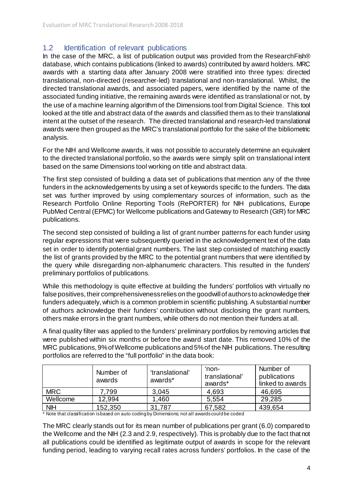#### <span id="page-3-0"></span>1.2 **Identification of relevant publications**

In the case of the MRC, a list of publication output was provided from the ResearchFish® database, which contains publications (linked to awards) contributed by award holders. MRC awards with a starting data after January 2008 were stratified into three types: directed translational, non-directed (researcher-led) translational and non-translational. Whilst, the directed translational awards, and associated papers, were identified by the name of the associated funding initiative, the remaining awards were identified as translational or not, by the use of a machine learning algorithm of the Dimensions tool from Digital Science. This tool looked at the title and abstract data of the awards and classified them as to their translational intent at the outset of the research. The directed translational and research-led translational awards were then grouped as the MRC's translational portfolio for the sake of the bibliometric analysis.

For the NIH and Wellcome awards, it was not possible to accurately determine an equivalent to the directed translational portfolio, so the awards were simply split on translational intent based on the same Dimensions tool working on title and abstract data.

The first step consisted of building a data set of publications that mention any of the three funders in the acknowledgements by using a set of keywords specific to the funders. The data set was further improved by using complementary sources of information, such as the Research Portfolio Online Reporting Tools (RePORTER) for NIH publications, Europe PubMed Central (EPMC) for Wellcome publications and Gateway to Research (GtR) for MRC publications.

The second step consisted of building a list of grant number patterns for each funder using regular expressions that were subsequently queried in the acknowledgement text of the data set in order to identify potential grant numbers. The last step consisted of matching exactly the list of grants provided by the MRC to the potential grant numbers that were identified by the query while disregarding non-alphanumeric characters. This resulted in the funders' preliminary portfolios of publications.

While this methodology is quite effective at building the funders' portfolios with virtually no false positives, their comprehensiveness relies on the goodwill of authors to acknowledge their funders adequately, which is a common problem in scientific publishing. A substantial number of authors acknowledge their funders' contribution without disclosing the grant numbers, others make errors in the grant numbers, while others do not mention their funders at all.

A final quality filter was applied to the funders' preliminary portfolios by removing articles that were published within six months or before the award start date. This removed 10% of the MRC publications, 9% of Wellcome publications and 5% of the NIH publications. The resulting portfolios are referred to the "full portfolio" in the data book:

|            | Number of<br>awards | 'translational'<br>awards* | 'non-<br>translational'<br>awards* | Number of<br>publications<br>linked to awards |
|------------|---------------------|----------------------------|------------------------------------|-----------------------------------------------|
| <b>MRC</b> | .799                | 3,045                      | 4,693                              | 46,695                                        |
| Wellcome   | 12,994              | .460                       | 5,554                              | 29,285                                        |
| <b>NIH</b> | 152,350             | 31,787                     | 67,582                             | 439,654                                       |

\* Note that classification is based on auto coding by Dimensions; not all awards could be coded

The MRC clearly stands out for its mean number of publications per grant (6.0) compared to the Wellcome and the NIH (2.3 and 2.9, respectively). This is probably due to the fact that not all publications could be identified as legitimate output of awards in scope for the relevant funding period, leading to varying recall rates across funders' portfolios. In the case of the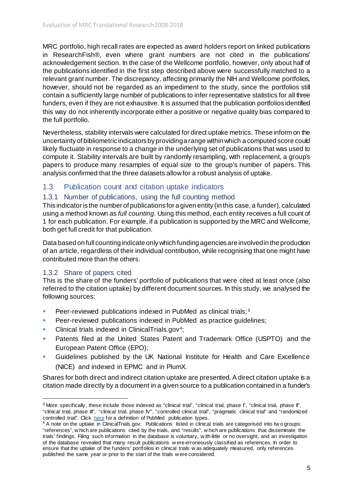MRC portfolio, high recall rates are expected as award holders report on linked publications in ResearchFish®, even where grant numbers are not cited in the publications' acknowledgement section. In the case of the Wellcome portfolio, however, only about half of the publications identified in the first step described above were successfully matched to a relevant grant number. The discrepancy, affecting primarily the NIH and Wellcome portfolios, however, should not be regarded as an impediment to the study, since the portfolios still contain a sufficiently large number of publications to infer representative statistics for all three funders, even if they are not exhaustive. It is assumed that the publication portfolios identified this way do not inherently incorporate either a positive or negative quality bias compared to the full portfolio.

Nevertheless, stability intervals were calculated for direct uptake metrics. These inform on the uncertainty of bibliometric indicators by providing a range within which a computed score could likely fluctuate in response to a change in the underlying set of publications that was used to compute it. Stability intervals are built by randomly resampling, with replacement, a group's papers to produce many resamples of equal size to the group's number of papers. This analysis confirmed that the three datasets allowfor a robust analysis of uptake.

#### <span id="page-4-0"></span>1.3 Publication count and citation uptake indicators

#### <span id="page-4-1"></span>1.3.1 Number of publications, using the full counting method

This indicator is the number of publications for a given entity (in this case, a funder), calculated using a method known as *full counting*. Using this method, each entity receives a full count of 1 for each publication. For example, if a publication is supported by the MRC and Wellcome, both get full credit for that publication.

Data based on full counting indicate only which funding agencies are involved in the production of an article, regardless of their individual contribution, while recognising that one might have contributed more than the others.

#### <span id="page-4-2"></span>1.3.2 Share of papers cited

1

This is the share of the funders' portfolio of publications that were cited at least once (also referred to the citation uptake) by different document sources. In this study, we analysed the following sources:

- **Peer-reviewed publications indexed in PubMed as clinical trials; [3](#page-4-3)**
- Peer-reviewed publications indexed in PubMed as practice guidelines;
- Clinical trials indexed in ClinicalTrials.gov<sup>[4](#page-4-4)</sup>;
- Patents filed at the United States Patent and Trademark Office (USPTO) and the European Patent Office (EPO);
- Guidelines published by the UK National Institute for Health and Care Excellence (NICE) and indexed in EPMC and in PlumX.

Shares for both direct and indirect citation uptake are presented. A direct citation uptake is a citation made directly by a document in a given source to a publication contained in a funder's

<span id="page-4-3"></span> $3$  More specifically, these include those indexed as "clinical trial", "clinical trial, phase I", "clinical trial, phase II", "clinical trial, phase III", "clinical trial, phase IV", "controlled clinical trial", "pragmatic clinical trial" and "randomized controlled trial". Click [here](https://www.nlm.nih.gov/mesh/pubtypes.html) for a definition of PubMed publication types.

<span id="page-4-4"></span><sup>&</sup>lt;sup>4</sup> A note on the uptake in ClinicalTrials.gov: Publications listed in clinical trials are categorised into two groups: "references", w hich are publications cited by the trials, and "results", w hich are publications that disseminate the trials' findings. Filing such information in the database is voluntary, w ith little or no oversight, and an investigation of the database revealed that many result publications w ere erroneously classified as references. In order to ensure that the uptake of the funders' portfolios in clinical trials w as adequately measured, only references published the same year or prior to the start of the trials w ere considered.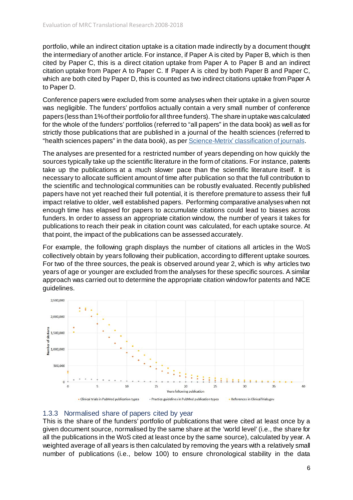portfolio, while an indirect citation uptake is a citation made indirectly by a document thought the intermediary of another article. For instance, if Paper A is cited by Paper B, which is then cited by Paper C, this is a direct citation uptake from Paper A to Paper B and an indirect citation uptake from Paper A to Paper C. If Paper A is cited by both Paper B and Paper C, which are both cited by Paper D, this is counted as two indirect citations uptake from Paper A to Paper D.

Conference papers were excluded from some analyses when their uptake in a given source was negligible. The funders' portfolios actually contain a very small number of conference papers (less than 1% of their portfolio for all three funders). The share in uptake was calculated for the whole of the funders' portfolios (referred to "all papers" in the data book) as well as for strictly those publications that are published in a journal of the health sciences (referred to "health sciences papers" in the data book), as pe[r Science-Metrix' classification of journals](http://www.science-metrix.com/?q=en/classification).

The analyses are presented for a restricted number of years depending on how quickly the sources typically take up the scientific literature in the form of citations. For instance, patents take up the publications at a much slower pace than the scientific literature itself. It is necessary to allocate sufficient amount of time after publication so that the full contribution to the scientific and technological communities can be robustly evaluated. Recently published papers have not yet reached their full potential, it is therefore premature to assess their full impact relative to older, well established papers. Performing comparative analyses when not enough time has elapsed for papers to accumulate citations could lead to biases across funders. In order to assess an appropriate citation window, the number of years it takes for publications to reach their peak in citation count was calculated, for each uptake source. At that point, the impact of the publications can be assessed accurately.

For example, the following graph displays the number of citations all articles in the WoS collectively obtain by years following their publication, according to different uptake sources. For two of the three sources, the peak is observed around year 2, which is why articles two years of age or younger are excluded from the analyses for these specific sources. A similar approach was carried out to determine the appropriate citation window for patents and NICE guidelines.



#### <span id="page-5-0"></span>1.3.3 Normalised share of papers cited by year

This is the share of the funders' portfolio of publications that were cited at least once by a given document source, normalised by the same share at the 'world level' (i.e., the share for all the publications in the WoS cited at least once by the same source), calculated by year. A weighted average of all years is then calculated by removing the years with a relatively small number of publications (i.e., below 100) to ensure chronological stability in the data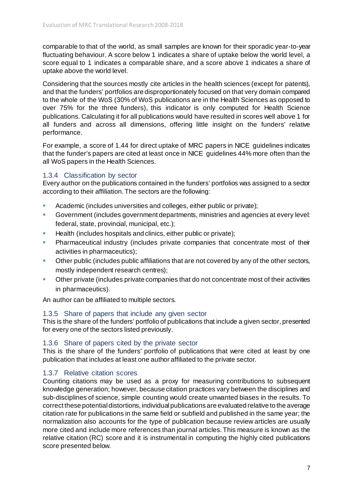comparable to that of the world, as small samples are known for their sporadic year-to-year fluctuating behaviour. A score below 1 indicates a share of uptake below the world level, a score equal to 1 indicates a comparable share, and a score above 1 indicates a share of uptake above the world level.

Considering that the sources mostly cite articles in the health sciences (except for patents), and that the funders' portfolios are disproportionately focused on that very domain compared to the whole of the WoS (30% of WoS publications are in the Health Sciences as opposed to over 75% for the three funders), this indicator is only computed for Health Science publications. Calculating it for all publications would have resulted in scores well above 1 for all funders and across all dimensions, offering little insight on the funders' relative performance.

For example, a score of 1.44 for direct uptake of MRC papers in NICE guidelines indicates that the funder's papers are cited at least once in NICE guidelines 44% more often than the all WoS papers in the Health Sciences.

#### <span id="page-6-0"></span>1.3.4 Classification by sector

Every author on the publications contained in the funders' portfolios was assigned to a sector according to their affiliation. The sectors are the following:

- Academic (includes universities and colleges, either public or private);
- Government (includes government departments, ministries and agencies at every level: federal, state, provincial, municipal, etc.);
- **Health (includes hospitals and clinics, either public or private);**
- **Pharmaceutical industry (includes private companies that concentrate most of their** activities in pharmaceutics);
- Other public (includes public affiliations that are not covered by any of the other sectors, mostly independent research centres);
- Other private (includes private companies that do not concentrate most of their activities in pharmaceutics).

An author can be affiliated to multiple sectors.

#### <span id="page-6-1"></span>1.3.5 Share of papers that include any given sector

This is the share of the funders' portfolio of publications that include a given sector, presented for every one of the sectors listed previously.

#### <span id="page-6-2"></span>1.3.6 Share of papers cited by the private sector

This is the share of the funders' portfolio of publications that were cited at least by one publication that includes at least one author affiliated to the private sector.

#### <span id="page-6-3"></span>1.3.7 Relative citation scores

Counting citations may be used as a proxy for measuring contributions to subsequent knowledge generation; however, because citation practices vary between the disciplines and sub-disciplines of science, simple counting would create unwanted biases in the results. To correct these potential distortions, individual publications are evaluated relative to the average citation rate for publications in the same field or subfield and published in the same year; the normalization also accounts for the type of publication because review articles are usually more cited and include more references than journal articles. This measure is known as the relative citation (RC) score and it is instrumental in computing the highly cited publications score presented below.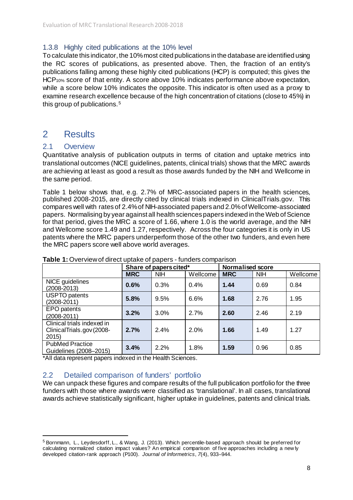#### <span id="page-7-0"></span>1.3.8 Highly cited publications at the 10% level

To calculate this indicator, the 10% most cited publications in the database are identified using the RC scores of publications, as presented above. Then, the fraction of an entity's publications falling among these highly cited publications (HCP) is computed; this gives the HCP10% score of that entity. A score above 10% indicates performance above expectation, while a score below 10% indicates the opposite. This indicator is often used as a proxy to examine research excellence because of the high concentration of citations (close to 45%) in this group of publications.[5](#page-7-4)

#### <span id="page-7-1"></span>2 Results

#### <span id="page-7-2"></span>2.1 Overview

1

Quantitative analysis of publication outputs in terms of citation and uptake metrics into translational outcomes (NICE guidelines, patents, clinical trials) shows that the MRC awards are achieving at least as good a result as those awards funded by the NIH and Wellcome in the same period.

Table 1 below shows that, e.g. 2.7% of MRC-associated papers in the health sciences, published 2008-2015, are directly cited by clinical trials indexed in ClinicalTrials.gov. This compares well with rates of 2.4% of NIH-associated papers and 2.0% of Wellcome-associated papers. Normalising by year against all health sciences papers indexed in the Web of Science for that period, gives the MRC a score of 1.66, where 1.0 is the world average, and the NIH and Wellcome score 1.49 and 1.27, respectively. Across the four categories it is only in US patents where the MRC papers underperform those of the other two funders, and even here the MRC papers score well above world averages.

|                                                                 |            | Share of papers cited* |          |            | <b>Normalised score</b> |          |  |
|-----------------------------------------------------------------|------------|------------------------|----------|------------|-------------------------|----------|--|
|                                                                 | <b>MRC</b> | <b>NIH</b>             | Wellcome | <b>MRC</b> | <b>NIH</b>              | Wellcome |  |
| NICE guidelines<br>$(2008 - 2013)$                              | 0.6%       | 0.3%                   | 0.4%     | 1.44       | 0.69                    | 0.84     |  |
| <b>USPTO</b> patents<br>$(2008 - 2011)$                         | 5.8%       | 9.5%                   | 6.6%     | 1.68       | 2.76                    | 1.95     |  |
| <b>EPO</b> patents<br>$(2008 - 2011)$                           | 3.2%       | 3.0%                   | 2.7%     | 2.60       | 2.46                    | 2.19     |  |
| Clinical trials indexed in<br>ClinicalTrials.gov (2008-<br>2015 | 2.7%       | 2.4%                   | 2.0%     | 1.66       | 1.49                    | 1.27     |  |
| <b>PubMed Practice</b><br>Guidelines (2008-2015)                | 3.4%       | 2.2%                   | 1.8%     | 1.59       | 0.96                    | 0.85     |  |

#### **Table 1:** Overview of direct uptake of papers - funders comparison

\*All data represent papers indexed in the Health Sciences.

#### <span id="page-7-3"></span>2.2 Detailed comparison of funders' portfolio

We can unpack these figures and compare results of the full publication portfolio for the three funders with those where awards were classified as 'translational'. In all cases, translational awards achieve statistically significant, higher uptake in guidelines, patents and clinical trials.

<span id="page-7-4"></span><sup>5</sup> Bornmann, L., Leydesdorff, L., & Wang, J. (2013). Which percentile-based approach should be preferred for calculating normalized citation impact values? An empirical comparison of five approaches including a new ly developed citation-rank approach (P100). *Journal of Informetrics*, *7*(4), 933–944.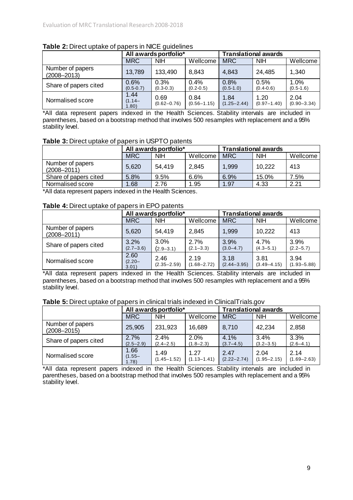|                                     |                             | All awards portfolio*   |                         |                         | <b>Translational awards</b> |                         |  |
|-------------------------------------|-----------------------------|-------------------------|-------------------------|-------------------------|-----------------------------|-------------------------|--|
|                                     | <b>MRC</b>                  | <b>NIH</b>              | Wellcome                | <b>MRC</b>              | <b>NIH</b>                  | Wellcome                |  |
| Number of papers<br>$(2008 - 2013)$ | 13,789                      | 133,490                 | 8,843                   | 4,843                   | 24,485                      | 1,340                   |  |
| Share of papers cited               | 0.6%<br>$(0.5 - 0.7)$       | 0.3%<br>$(0.3 - 0.3)$   | 0.4%<br>$(0.2 - 0.5)$   | 0.8%<br>$(0.5 - 1.0)$   | 0.5%<br>$(0.4 - 0.6)$       | 1.0%<br>$(0.5 - 1.6)$   |  |
| Normalised score                    | 1.44<br>$(1.14 -$<br>(08.1) | 0.69<br>$(0.62 - 0.76)$ | 0.84<br>$(0.56 - 1.15)$ | 1.84<br>$(1.25 - 2.44)$ | 1.20<br>$(0.97 - 1.40)$     | 2.04<br>$(0.90 - 3.34)$ |  |

#### **Table 2:** Direct uptake of papers in NICE guidelines

\*All data represent papers indexed in the Health Sciences. Stability intervals are included in parentheses, based on a bootstrap method that involves 500 resamples with replacement and a 95% stability level.

#### **Table 3:** Direct uptake of papers in USPTO patents

|                                     |            | All awards portfolio* |          |            | <b>Translational awards</b> |          |  |
|-------------------------------------|------------|-----------------------|----------|------------|-----------------------------|----------|--|
|                                     | <b>MRC</b> | <b>NIH</b>            | Wellcome | <b>MRC</b> | <b>NIH</b>                  | Wellcome |  |
| Number of papers<br>$(2008 - 2011)$ | 5,620      | 54.419                | 2,845    | 1,999      | 10.222                      | 413      |  |
| Share of papers cited               | 5.8%       | 9.5%                  | 6.6%     | 6.9%       | 15.0%                       | 7.5%     |  |
| Normalised score                    | 1.68       | 2.76                  | 1.95     | 1.97       | 4.33                        | 2.21     |  |

\*All data represent papers indexed in the Health Sciences.

#### **Table 4:** Direct uptake of papers in EPO patents

|                                     |                            | All awards portfolio*   |                         |                         | <b>Translational awards</b> |                         |  |
|-------------------------------------|----------------------------|-------------------------|-------------------------|-------------------------|-----------------------------|-------------------------|--|
|                                     | <b>MRC</b>                 | <b>NIH</b>              | Wellcome                | <b>MRC</b>              | <b>NIH</b>                  | Wellcome                |  |
| Number of papers<br>$(2008 - 2011)$ | 5,620                      | 54,419                  | 2,845                   | 1,999                   | 10,222                      | 413                     |  |
| Share of papers cited               | 3.2%<br>$(2.7 - 3.6)$      | 3.0%<br>$(2.9 - 3.1)$   | 2.7%<br>$(2.1 - 3.3)$   | 3.9%<br>$(3.0 - 4.7)$   | 4.7%<br>$(4.3 - 5.1)$       | 3.9%<br>$(2.2 - 5.7)$   |  |
| Normalised score                    | 2.60<br>$(2.20 -$<br>3.01) | 2.46<br>$(2.35 - 2.59)$ | 2.19<br>$(1.68 - 2.72)$ | 3.18<br>$(2.44 - 3.95)$ | 3.81<br>$(3.49 - 4.15)$     | 3.94<br>$(1.93 - 5.88)$ |  |

\*All data represent papers indexed in the Health Sciences. Stability intervals are included in parentheses, based on a bootstrap method that involves 500 resamples with replacement and a 95% stability level.

#### **Table 5:** Direct uptake of papers in clinical trials indexed in ClinicalTrials.gov

|                                     |                            | All awards portfolio*   |                          |                          | <b>Translational awards</b> |                         |  |
|-------------------------------------|----------------------------|-------------------------|--------------------------|--------------------------|-----------------------------|-------------------------|--|
|                                     | <b>MRC</b>                 | <b>NIH</b>              | Wellcome                 | <b>MRC</b>               | <b>NIH</b>                  | Wellcome                |  |
| Number of papers<br>$(2008 - 2015)$ | 25,905                     | 231,923                 | 16,689                   | 8,710                    | 42,234                      | 2,858                   |  |
| Share of papers cited               | 2.7%<br>$(2.5 - 2.9)$      | 2.4%<br>$(2.4 - 2.5)$   | $2.0\%$<br>$(1.8 - 2.3)$ | $4.1\%$<br>$(3.7 - 4.5)$ | 3.4%<br>$(3.2 - 3.5)$       | 3.3%<br>$(2.6 - 4.1)$   |  |
| Normalised score                    | 1.66<br>$(1.55 -$<br>1.78) | 1.49<br>$(1.45 - 1.52)$ | 1.27<br>$(1.13 - 1.41)$  | 2.47<br>$(2.22 - 2.74)$  | 2.04<br>$(1.95 - 2.15)$     | 2.14<br>$(1.69 - 2.63)$ |  |

\*All data represent papers indexed in the Health Sciences. Stability intervals are included in parentheses, based on a bootstrap method that involves 500 resamples with replacement and a 95% stability level.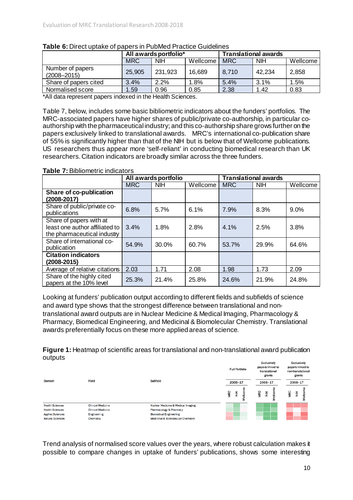|                                     |            | All awards portfolio*  |        |            | <b>Translational awards</b> |          |  |
|-------------------------------------|------------|------------------------|--------|------------|-----------------------------|----------|--|
|                                     | <b>MRC</b> | <b>NIH</b><br>Wellcome |        | <b>MRC</b> | <b>NIH</b>                  | Wellcome |  |
| Number of papers<br>$(2008 - 2015)$ | 25,905     | 231,923                | 16,689 | 8,710      | 42,234                      | 2,858    |  |
| Share of papers cited               | 3.4%       | 2.2%                   | 1.8%   | 5.4%       | 3.1%                        | 1.5%     |  |
| Normalised score                    | 1.59       | 0.96                   | 0.85   | 2.38       | 1.42                        | 0.83     |  |

#### **Table 6:** Direct uptake of papers in PubMed Practice Guidelines

\*All data represent papers indexed in the Health Sciences.

Table 7, below, includes some basic bibliometric indicators about the funders' portfolios. The MRC-associated papers have higher shares of public/private co-authorship, in particular coauthorship with the pharmaceutical industry; and this co-authorship share grows further on the papers exclusively linked to translational awards. MRC's international co-publication share of 55% is significantly higher than that of the NIH but is below that of Wellcome publications. US researchers thus appear more 'self-reliant' in conducting biomedical research than UK researchers. Citation indicators are broadly similar across the three funders.

#### **Table 7:** Bibliometric indicators

|                                                                                          |            | All awards portfolio |          |            | <b>Translational awards</b> |          |
|------------------------------------------------------------------------------------------|------------|----------------------|----------|------------|-----------------------------|----------|
|                                                                                          | <b>MRC</b> | <b>NIH</b>           | Wellcome | <b>MRC</b> | <b>NIH</b>                  | Wellcome |
| <b>Share of co-publication</b><br>$(2008 - 2017)$                                        |            |                      |          |            |                             |          |
| Share of public/private co-<br>publications                                              | 6.8%       | 5.7%                 | 6.1%     | 7.9%       | 8.3%                        | 9.0%     |
| Share of papers with at<br>least one author affiliated to<br>the pharmaceutical industry | 3.4%       | 1.8%                 | 2.8%     | 4.1%       | 2.5%                        | 3.8%     |
| Share of international co-<br>publication                                                | 54.9%      | 30.0%                | 60.7%    | 53.7%      | 29.9%                       | 64.6%    |
| <b>Citation indicators</b><br>$(2008 - 2015)$                                            |            |                      |          |            |                             |          |
| Average of relative citations                                                            | 2.03       | 1.71                 | 2.08     | 1.98       | 1.73                        | 2.09     |
| Share of the highly cited<br>papers at the 10% level                                     | 25.3%      | 21.4%                | 25.8%    | 24.6%      | 21.9%                       | 24.8%    |

Looking at funders' publication output according to different fields and subfields of science and award type shows that the strongest difference between translational and nontranslational award outputs are in Nuclear Medicine & Medical Imaging, Pharmacology & Pharmacy, Biomedical Engineering, and Medicinal & Biomolecular Chemistry. Translational awards preferentially focus on these more applied areas of science.

**Figure 1:** Heatmap of scientific areas for translational and non-translational award publication outputs **Evolugively** Evelugiyalv

|                         |                          |                                    | <b>Full Portfolio</b> | $-1$<br>papers linked to<br>translational<br>grants | <b>PARTMENTS</b><br>papers linked to<br>non-translational<br>grants |
|-------------------------|--------------------------|------------------------------------|-----------------------|-----------------------------------------------------|---------------------------------------------------------------------|
| Domain                  | Field                    | Subfield                           | $2008 - 17$           | $2008 - 17$                                         | $2008 - 17$                                                         |
|                         |                          |                                    | <b>MRC</b><br>li      | MRC<br>$\frac{1}{2}$                                | MRC<br>$\frac{x}{z}$<br>훎                                           |
| <b>Health Sciences</b>  | <b>Clinical Medicine</b> | Nuclear Medicine & Medical Imaging |                       |                                                     |                                                                     |
| <b>Health Sciences</b>  | Clinical Medicine        | Pharmacology & Pharmacy            |                       |                                                     |                                                                     |
| <b>Applied Sciences</b> | Engineering              | <b>Biomedical Engineering</b>      |                       |                                                     |                                                                     |
| <b>Natural Sciences</b> | Chemistry                | Medicinal & Biomolecular Chemistry |                       |                                                     |                                                                     |

Trend analysis of normalised score values over the years, where robust calculation makes it possible to compare changes in uptake of funders' publications, shows some interesting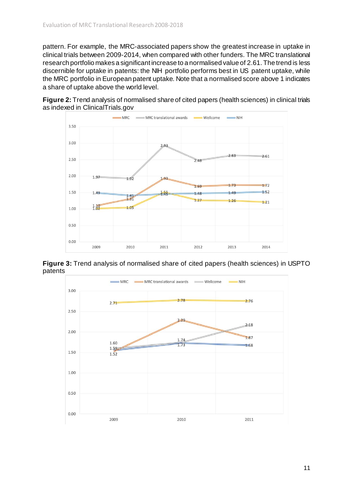pattern. For example, the MRC-associated papers show the greatest increase in uptake in clinical trials between 2009-2014, when compared with other funders. The MRC translational research portfolio makes a significant increase to a normalised value of 2.61. The trend is less discernible for uptake in patents: the NIH portfolio performs best in US patent uptake, while the MRC portfolio in European patent uptake. Note that a normalised score above 1 indicates a share of uptake above the world level.







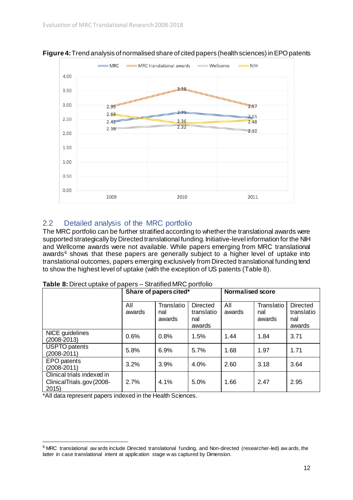

**Figure 4:** Trend analysis of normalised share of cited papers (health sciences) in EPO patents

#### <span id="page-11-0"></span>2.2 Detailed analysis of the MRC portfolio

The MRC portfolio can be further stratified according to whether the translational awards were supported strategically by Directed translational funding. Initiative-level information for the NIH and Wellcome awards were not available. While papers emerging from MRC translational awards $6$  shows that these papers are generally subject to a higher level of uptake into translational outcomes, papers emerging exclusively from Directed translational funding tend to show the highest level of uptake (with the exception of US patents (Table 8).

|                                                                  | Share of papers cited* |                             |                                                | Normalised score |                             |                                                |
|------------------------------------------------------------------|------------------------|-----------------------------|------------------------------------------------|------------------|-----------------------------|------------------------------------------------|
|                                                                  | All<br>awards          | Translatio<br>nal<br>awards | <b>Directed</b><br>translatio<br>nal<br>awards | All<br>awards    | Translatio<br>nal<br>awards | <b>Directed</b><br>translatio<br>nal<br>awards |
| NICE guidelines<br>$(2008 - 2013)$                               | 0.6%                   | 0.8%                        | 1.5%                                           | 1.44             | 1.84                        | 3.71                                           |
| <b>USPTO</b> patents<br>$(2008 - 2011)$                          | 5.8%                   | 6.9%                        | 5.7%                                           | 1.68             | 1.97                        | 1.71                                           |
| <b>EPO</b> patents<br>$(2008 - 2011)$                            | 3.2%                   | 3.9%                        | 4.0%                                           | 2.60             | 3.18                        | 3.64                                           |
| Clinical trials indexed in<br>Clinical Trials.gov (2008-<br>2015 | 2.7%                   | 4.1%                        | 5.0%                                           | 1.66             | 2.47                        | 2.95                                           |

**Table 8:** Direct uptake of papers – Stratified MRC portfolio

\*All data represent papers indexed in the Health Sciences.

1

<span id="page-11-1"></span><sup>6</sup> MRC translational aw ards include Directed translational funding, and Non-directed (researcher-led) aw ards, the latter in case translational intent at application stage w as captured by Dimension.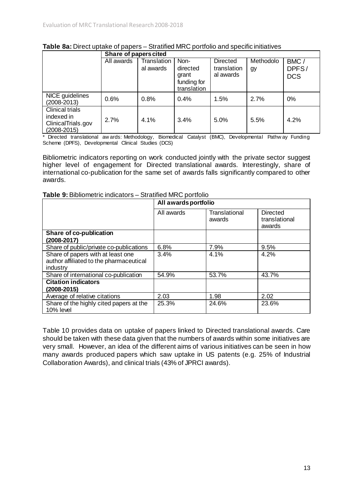|                                                                                |            | Share of papers cited    |                                                         |                                             |                 |                             |  |  |  |
|--------------------------------------------------------------------------------|------------|--------------------------|---------------------------------------------------------|---------------------------------------------|-----------------|-----------------------------|--|--|--|
|                                                                                | All awards | Translation<br>al awards | Non-<br>directed<br>grant<br>funding for<br>translation | <b>Directed</b><br>translation<br>al awards | Methodolo<br>gy | BMC/<br>DPFS/<br><b>DCS</b> |  |  |  |
| NICE guidelines<br>$(2008 - 2013)$                                             | 0.6%       | 0.8%                     | 0.4%                                                    | 1.5%                                        | 2.7%            | 0%                          |  |  |  |
| <b>Clinical trials</b><br>indexed in<br>Clinical Trials.gov<br>$(2008 - 2015)$ | 2.7%       | 4.1%                     | 3.4%                                                    | 5.0%                                        | 5.5%            | 4.2%                        |  |  |  |

#### **Table 8a:** Direct uptake of papers – Stratified MRC portfolio and specific initiatives

Directed translational aw ards: Methodology, Biomedical Catalyst (BMC), Developmental Pathw ay Funding Scheme (DPFS), Developmental Clinical Studies (DCS)

Bibliometric indicators reporting on work conducted jointly with the private sector suggest higher level of engagement for Directed translational awards. Interestingly, share of international co-publication for the same set of awards falls significantly compared to other awards.

#### **Table 9:** Bibliometric indicators – Stratified MRC portfolio

|                                                                                          | All awards portfolio |                         |                                            |  |  |
|------------------------------------------------------------------------------------------|----------------------|-------------------------|--------------------------------------------|--|--|
|                                                                                          | All awards           | Translational<br>awards | <b>Directed</b><br>translational<br>awards |  |  |
| Share of co-publication                                                                  |                      |                         |                                            |  |  |
| (2008-2017)                                                                              |                      |                         |                                            |  |  |
| Share of public/private co-publications                                                  | 6.8%                 | 7.9%                    | 9.5%                                       |  |  |
| Share of papers with at least one<br>author affiliated to the pharmaceutical<br>industry | 3.4%                 | 4.1%                    | 4.2%                                       |  |  |
| Share of international co-publication                                                    | 54.9%                | 53.7%                   | 43.7%                                      |  |  |
| <b>Citation indicators</b><br>$(2008 - 2015)$                                            |                      |                         |                                            |  |  |
| Average of relative citations                                                            | 2.03                 | 1.98                    | 2.02                                       |  |  |
| Share of the highly cited papers at the<br>10% level                                     | 25.3%                | 24.6%                   | 23.6%                                      |  |  |

Table 10 provides data on uptake of papers linked to Directed translational awards. Care should be taken with these data given that the numbers of awards within some initiatives are very small. However, an idea of the different aims of various initiatives can be seen in how many awards produced papers which saw uptake in US patents (e.g. 25% of Industrial Collaboration Awards), and clinical trials (43% of JPRCI awards).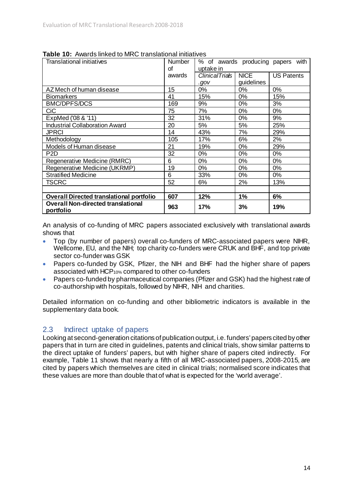| Translational initiatives                              | <b>Number</b> | % of awards producing papers<br>with |             |                   |
|--------------------------------------------------------|---------------|--------------------------------------|-------------|-------------------|
|                                                        | οf            | uptake in                            |             |                   |
|                                                        | awards        | <b>ClinicalTrials</b>                | <b>NICE</b> | <b>US Patents</b> |
|                                                        |               | .gov                                 | guidelines  |                   |
| AZ Mech of human disease                               | 15            | 0%                                   | $0\%$       | 0%                |
| <b>Biomarkers</b>                                      | 41            | 15%                                  | $0\%$       | 15%               |
| <b>BMC/DPFS/DCS</b>                                    | 169           | 9%                                   | 0%          | 3%                |
| <b>CiC</b>                                             | 75            | 7%                                   | 0%          | 0%                |
| ExpMed ('08 & '11)                                     | 32            | 31%                                  | 0%          | 9%                |
| <b>Industrial Collaboration Award</b>                  | 20            | 5%                                   | 5%          | 25%               |
| <b>JPRCI</b>                                           | 14            | 43%                                  | 7%          | 29%               |
| Methodology                                            | 105           | 17%                                  | 6%          | 2%                |
| Models of Human disease                                | 21            | 19%                                  | 0%          | 29%               |
| P <sub>2</sub> D                                       | 32            | 0%                                   | $0\%$       | 0%                |
| Regenerative Medicine (RMRC)                           | 6             | 0%                                   | 0%          | 0%                |
| Regenerative Medicine (UKRMP)                          | 19            | 0%                                   | $0\%$       | 0%                |
| <b>Stratified Medicine</b>                             | 6             | 33%                                  | 0%          | 0%                |
| TSCRC                                                  | 52            | 6%                                   | 2%          | 13%               |
|                                                        |               |                                      |             |                   |
| <b>Overall Directed translational portfolio</b>        | 607           | 12%                                  | 1%          | 6%                |
| <b>Overall Non-directed translational</b><br>portfolio | 963           | 17%                                  | 3%          | 19%               |

**Table 10:** Awards linked to MRC translational initiatives

An analysis of co-funding of MRC papers associated exclusively with translational awards shows that

- Top (by number of papers) overall co-funders of MRC-associated papers were NIHR, Wellcome, EU, and the NIH; top charity co-funders were CRUK and BHF, and top private sector co-funder was GSK
- Papers co-funded by GSK, Pfizer, the NIH and BHF had the higher share of papers associated with HCP10% compared to other co-funders
- Papers co-funded by pharmaceutical companies (Pfizer and GSK) had the highest rate of co-authorship with hospitals, followed by NIHR, NIH and charities.

Detailed information on co-funding and other bibliometric indicators is available in the supplementary data book.

#### <span id="page-13-0"></span>2.3 Indirect uptake of papers

Looking at second-generation citations of publication output, i.e. funders' papers cited by other papers that in turn are cited in guidelines, patents and clinical trials, show similar patterns to the direct uptake of funders' papers, but with higher share of papers cited indirectly. For example, Table 11 shows that nearly a fifth of all MRC-associated papers, 2008-2015, are cited by papers which themselves are cited in clinical trials; normalised score indicates that these values are more than double that of what is expected for the 'world average'.